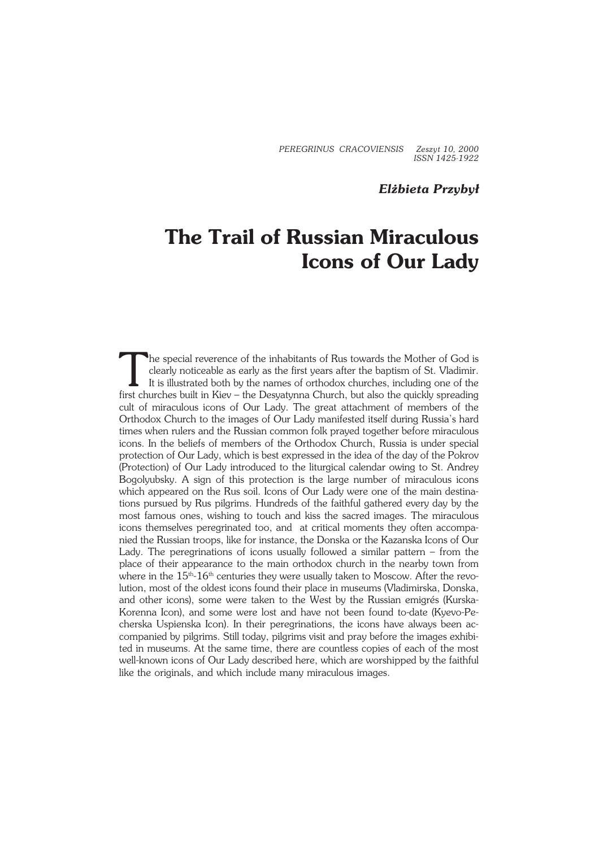*PEREGRINUS CRACOVIENSIS Zeszyt 10, 2000 ISSN 1425−1922*

## *Elżbieta Przybył*

# **The Trail of Russian Miraculous Icons of Our Lady**

The special reverence of the inhabitants of Rus towards the Mother of God is clearly noticeable as early as the first years after the baptism of St. Vladimir. It is illustrated both by the names of orthodox churches, inclu The special reverence of the inhabitants of Rus towards the Mother of God is clearly noticeable as early as the first years after the baptism of St. Vladimir. It is illustrated both by the names of orthodox churches, including one of the cult of miraculous icons of Our Lady. The great attachment of members of the Orthodox Church to the images of Our Lady manifested itself during Russia's hard times when rulers and the Russian common folk prayed together before miraculous icons. In the beliefs of members of the Orthodox Church, Russia is under special protection of Our Lady, which is best expressed in the idea of the day of the Pokrov (Protection) of Our Lady introduced to the liturgical calendar owing to St. Andrey Bogolyubsky. A sign of this protection is the large number of miraculous icons which appeared on the Rus soil. Icons of Our Lady were one of the main destinations pursued by Rus pilgrims. Hundreds of the faithful gathered every day by the most famous ones, wishing to touch and kiss the sacred images. The miraculous icons themselves peregrinated too, and at critical moments they often accompa− nied the Russian troops, like for instance, the Donska or the Kazanska Icons of Our Lady. The peregrinations of icons usually followed a similar pattern – from the place of their appearance to the main orthodox church in the nearby town from where in the  $15<sup>th</sup>$ -16<sup>th</sup> centuries they were usually taken to Moscow. After the revolution, most of the oldest icons found their place in museums (Vladimirska, Donska, and other icons), some were taken to the West by the Russian emigrés (Kurska− Korenna Icon), and some were lost and have not been found to−date (Kyevo−Pe− cherska Uspienska Icon). In their peregrinations, the icons have always been ac− companied by pilgrims. Still today, pilgrims visit and pray before the images exhibi− ted in museums. At the same time, there are countless copies of each of the most well−known icons of Our Lady described here, which are worshipped by the faithful like the originals, and which include many miraculous images.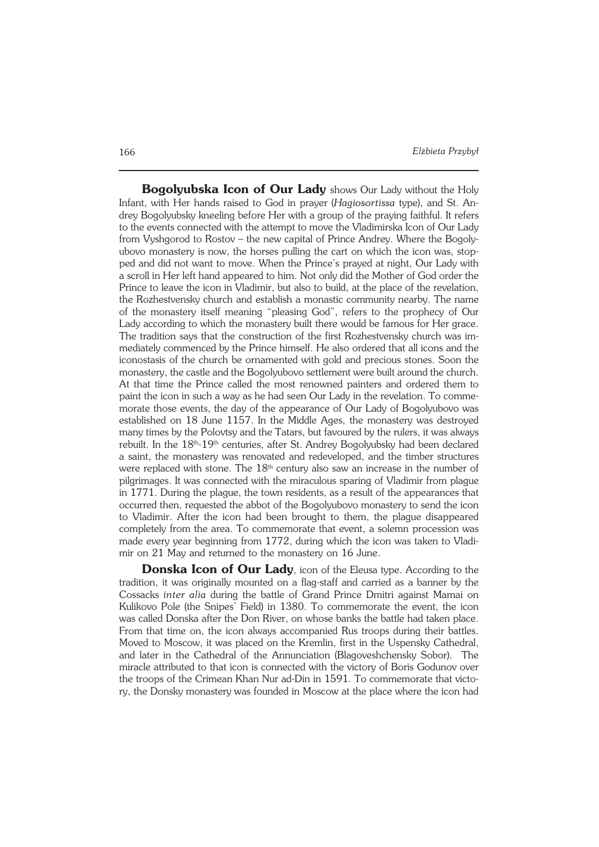**Bogolyubska Icon of Our Lady** shows Our Lady without the Holy Infant, with Her hands raised to God in prayer (*Hagiosortissa* type), and St. An− drey Bogolyubsky kneeling before Her with a group of the praying faithful. It refers to the events connected with the attempt to move the Vladimirska Icon of Our Lady from Vyshgorod to Rostov – the new capital of Prince Andrey. Where the Bogoly− ubovo monastery is now, the horses pulling the cart on which the icon was, stop− ped and did not want to move. When the Prince's prayed at night, Our Lady with a scroll in Her left hand appeared to him. Not only did the Mother of God order the Prince to leave the icon in Vladimir, but also to build, at the place of the revelation, the Rozhestvensky church and establish a monastic community nearby. The name of the monastery itself meaning "pleasing God", refers to the prophecy of Our Lady according to which the monastery built there would be famous for Her grace. The tradition says that the construction of the first Rozhestvensky church was im− mediately commenced by the Prince himself. He also ordered that all icons and the iconostasis of the church be ornamented with gold and precious stones. Soon the monastery, the castle and the Bogolyubovo settlement were built around the church. At that time the Prince called the most renowned painters and ordered them to paint the icon in such a way as he had seen Our Lady in the revelation. To commemorate those events, the day of the appearance of Our Lady of Bogolyubovo was established on 18 June 1157. In the Middle Ages, the monastery was destroyed many times by the Polovtsy and the Tatars, but favoured by the rulers, it was always rebuilt. In the 18<sup>th</sup>-19<sup>th</sup> centuries, after St. Andrey Bogolyubsky had been declared a saint, the monastery was renovated and redeveloped, and the timber structures were replaced with stone. The  $18<sup>th</sup>$  century also saw an increase in the number of pilgrimages. It was connected with the miraculous sparing of Vladimir from plague in 1771. During the plague, the town residents, as a result of the appearances that occurred then, requested the abbot of the Bogolyubovo monastery to send the icon to Vladimir. After the icon had been brought to them, the plague disappeared completely from the area. To commemorate that event, a solemn procession was made every year beginning from 1772, during which the icon was taken to Vladi− mir on 21 May and returned to the monastery on 16 June.

**Donska Icon of Our Lady**, icon of the Eleusa type. According to the tradition, it was originally mounted on a flag−staff and carried as a banner by the Cossacks *inter alia* during the battle of Grand Prince Dmitri against Mamai on Kulikovo Pole (the Snipes' Field) in 1380. To commemorate the event, the icon was called Donska after the Don River, on whose banks the battle had taken place. From that time on, the icon always accompanied Rus troops during their battles. Moved to Moscow, it was placed on the Kremlin, first in the Uspensky Cathedral, and later in the Cathedral of the Annunciation (Blagoveshchensky Sobor). The miracle attributed to that icon is connected with the victory of Boris Godunov over the troops of the Crimean Khan Nur ad−Din in 1591. To commemorate that victo− ry, the Donsky monastery was founded in Moscow at the place where the icon had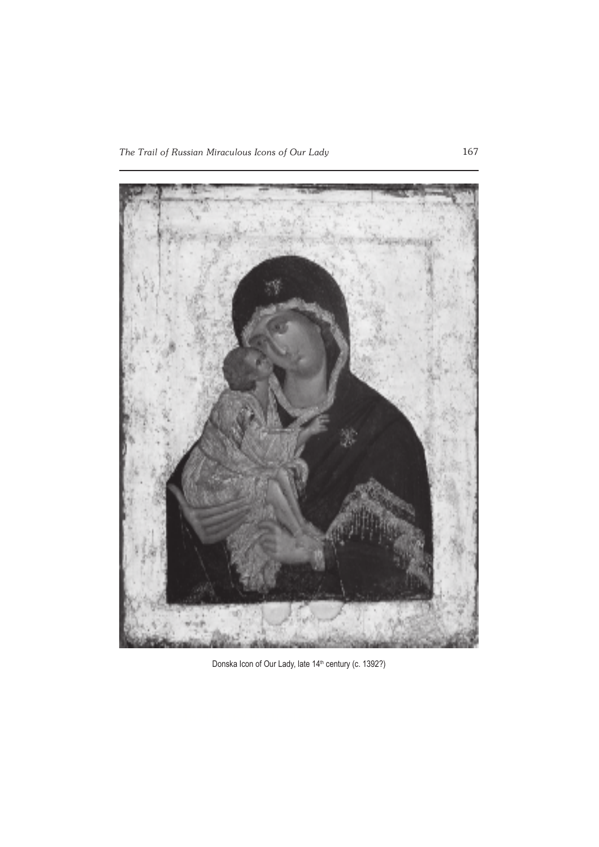

Donska Icon of Our Lady, late 14<sup>th</sup> century (c. 1392?)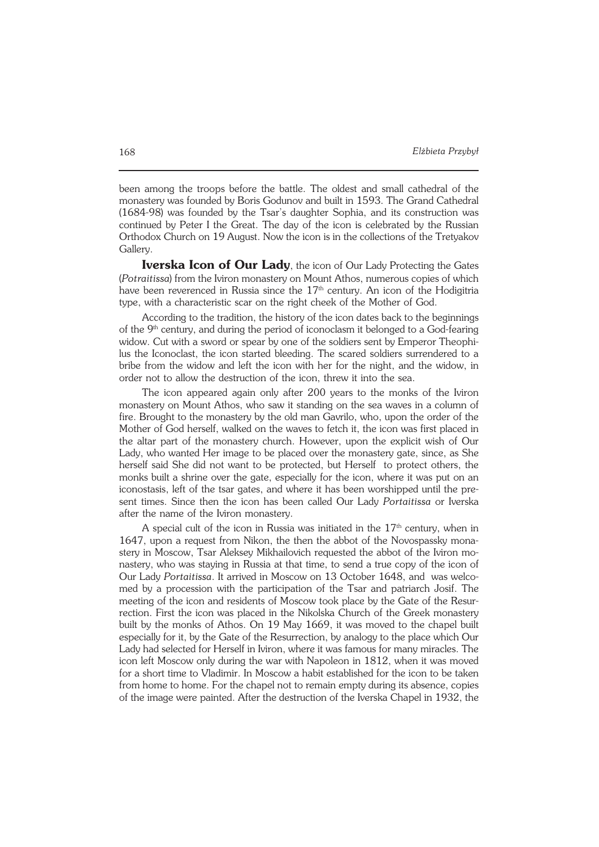been among the troops before the battle. The oldest and small cathedral of the monastery was founded by Boris Godunov and built in 1593. The Grand Cathedral (1684−98) was founded by the Tsar's daughter Sophia, and its construction was continued by Peter I the Great. The day of the icon is celebrated by the Russian Orthodox Church on 19 August. Now the icon is in the collections of the Tretyakov Gallery.

**Iverska Icon of Our Lady**, the icon of Our Lady Protecting the Gates (*Potraitissa*) from the Iviron monastery on Mount Athos, numerous copies of which have been reverenced in Russia since the  $17<sup>th</sup>$  century. An icon of the Hodigitria type, with a characteristic scar on the right cheek of the Mother of God.

According to the tradition, the history of the icon dates back to the beginnings of the 9th century, and during the period of iconoclasm it belonged to a God−fearing widow. Cut with a sword or spear by one of the soldiers sent by Emperor Theophi− lus the Iconoclast, the icon started bleeding. The scared soldiers surrendered to a bribe from the widow and left the icon with her for the night, and the widow, in order not to allow the destruction of the icon, threw it into the sea.

The icon appeared again only after 200 years to the monks of the Iviron monastery on Mount Athos, who saw it standing on the sea waves in a column of fire. Brought to the monastery by the old man Gavrilo, who, upon the order of the Mother of God herself, walked on the waves to fetch it, the icon was first placed in the altar part of the monastery church. However, upon the explicit wish of Our Lady, who wanted Her image to be placed over the monastery gate, since, as She herself said She did not want to be protected, but Herself to protect others, the monks built a shrine over the gate, especially for the icon, where it was put on an iconostasis, left of the tsar gates, and where it has been worshipped until the pre− sent times. Since then the icon has been called Our Lady *Portaitissa* or Iverska after the name of the Iviron monastery.

A special cult of the icon in Russia was initiated in the  $17<sup>th</sup>$  century, when in 1647, upon a request from Nikon, the then the abbot of the Novospassky mona− stery in Moscow, Tsar Aleksey Mikhailovich requested the abbot of the Iviron mo− nastery, who was staying in Russia at that time, to send a true copy of the icon of Our Lady *Portaitissa*. It arrived in Moscow on 13 October 1648, and was welco− med by a procession with the participation of the Tsar and patriarch Josif. The meeting of the icon and residents of Moscow took place by the Gate of the Resur− rection. First the icon was placed in the Nikolska Church of the Greek monastery built by the monks of Athos. On 19 May 1669, it was moved to the chapel built especially for it, by the Gate of the Resurrection, by analogy to the place which Our Lady had selected for Herself in Iviron, where it was famous for many miracles. The icon left Moscow only during the war with Napoleon in 1812, when it was moved for a short time to Vladimir. In Moscow a habit established for the icon to be taken from home to home. For the chapel not to remain empty during its absence, copies of the image were painted. After the destruction of the Iverska Chapel in 1932, the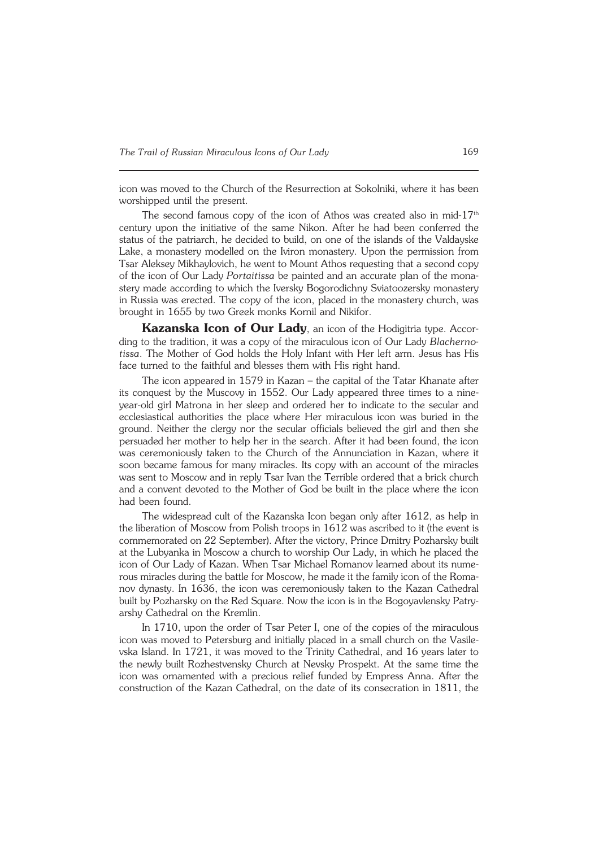icon was moved to the Church of the Resurrection at Sokolniki, where it has been worshipped until the present.

The second famous copy of the icon of Athos was created also in mid-17<sup>th</sup> century upon the initiative of the same Nikon. After he had been conferred the status of the patriarch, he decided to build, on one of the islands of the Valdayske Lake, a monastery modelled on the Iviron monastery. Upon the permission from Tsar Aleksey Mikhaylovich, he went to Mount Athos requesting that a second copy of the icon of Our Lady *Portaitissa* be painted and an accurate plan of the mona− stery made according to which the Iversky Bogorodichny Sviatoozersky monastery in Russia was erected. The copy of the icon, placed in the monastery church, was brought in 1655 by two Greek monks Kornil and Nikifor.

Kazanska Icon of Our Lady, an icon of the Hodigitria type. According to the tradition, it was a copy of the miraculous icon of Our Lady *Blacherno− tissa*. The Mother of God holds the Holy Infant with Her left arm. Jesus has His face turned to the faithful and blesses them with His right hand.

The icon appeared in 1579 in Kazan – the capital of the Tatar Khanate after its conquest by the Muscovy in 1552. Our Lady appeared three times to a nine− year−old girl Matrona in her sleep and ordered her to indicate to the secular and ecclesiastical authorities the place where Her miraculous icon was buried in the ground. Neither the clergy nor the secular officials believed the girl and then she persuaded her mother to help her in the search. After it had been found, the icon was ceremoniously taken to the Church of the Annunciation in Kazan, where it soon became famous for many miracles. Its copy with an account of the miracles was sent to Moscow and in reply Tsar Ivan the Terrible ordered that a brick church and a convent devoted to the Mother of God be built in the place where the icon had been found.

The widespread cult of the Kazanska Icon began only after 1612, as help in the liberation of Moscow from Polish troops in 1612 was ascribed to it (the event is commemorated on 22 September). After the victory, Prince Dmitry Pozharsky built at the Lubyanka in Moscow a church to worship Our Lady, in which he placed the icon of Our Lady of Kazan. When Tsar Michael Romanov learned about its nume− rous miracles during the battle for Moscow, he made it the family icon of the Roma− nov dynasty. In 1636, the icon was ceremoniously taken to the Kazan Cathedral built by Pozharsky on the Red Square. Now the icon is in the Bogoyavlensky Patry− arshy Cathedral on the Kremlin.

In 1710, upon the order of Tsar Peter I, one of the copies of the miraculous icon was moved to Petersburg and initially placed in a small church on the Vasile− vska Island. In 1721, it was moved to the Trinity Cathedral, and 16 years later to the newly built Rozhestvensky Church at Nevsky Prospekt. At the same time the icon was ornamented with a precious relief funded by Empress Anna. After the construction of the Kazan Cathedral, on the date of its consecration in 1811, the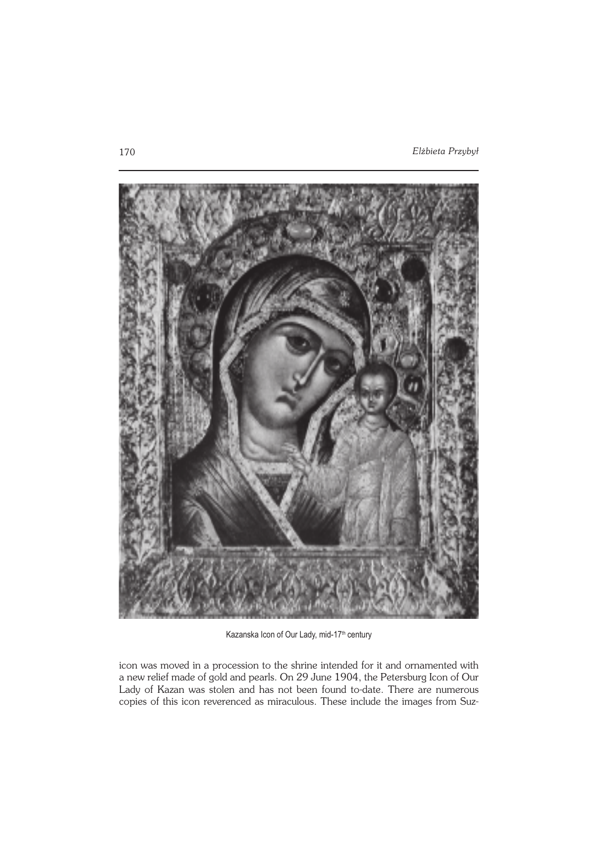

Kazanska Icon of Our Lady, mid-17<sup>th</sup> century

icon was moved in a procession to the shrine intended for it and ornamented with a new relief made of gold and pearls. On 29 June 1904, the Petersburg Icon of Our Lady of Kazan was stolen and has not been found to−date. There are numerous copies of this icon reverenced as miraculous. These include the images from Suz−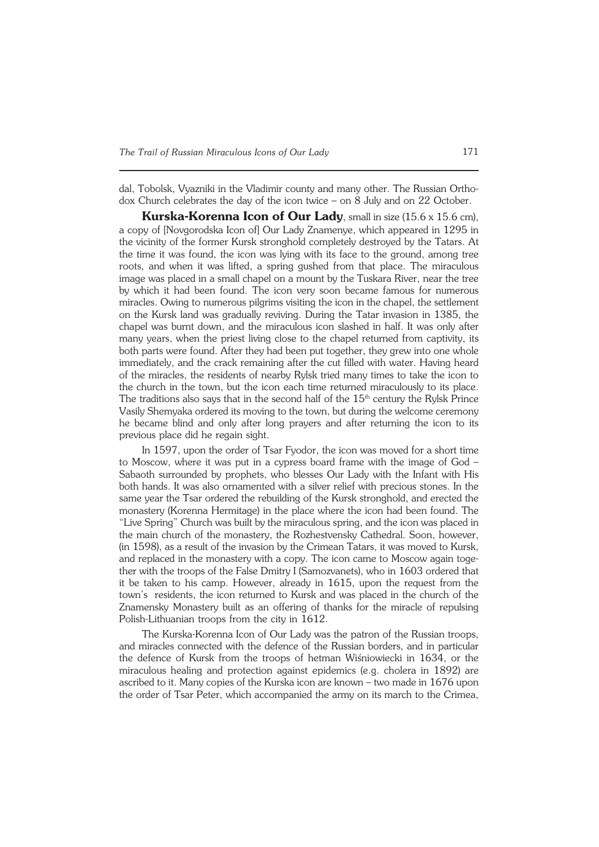dal, Tobolsk, Vyazniki in the Vladimir county and many other. The Russian Ortho− dox Church celebrates the day of the icon twice – on 8 July and on 22 October.

**Kurska−Korenna Icon of Our Lady**, small in size (15.6 x 15.6 cm), a copy of [Novgorodska Icon of] Our Lady Znamenye, which appeared in 1295 in the vicinity of the former Kursk stronghold completely destroyed by the Tatars. At the time it was found, the icon was lying with its face to the ground, among tree roots, and when it was lifted, a spring gushed from that place. The miraculous image was placed in a small chapel on a mount by the Tuskara River, near the tree by which it had been found. The icon very soon became famous for numerous miracles. Owing to numerous pilgrims visiting the icon in the chapel, the settlement on the Kursk land was gradually reviving. During the Tatar invasion in 1385, the chapel was burnt down, and the miraculous icon slashed in half. It was only after many years, when the priest living close to the chapel returned from captivity, its both parts were found. After they had been put together, they grew into one whole immediately, and the crack remaining after the cut filled with water. Having heard of the miracles, the residents of nearby Rylsk tried many times to take the icon to the church in the town, but the icon each time returned miraculously to its place. The traditions also says that in the second half of the  $15<sup>th</sup>$  century the Rylsk Prince Vasily Shemyaka ordered its moving to the town, but during the welcome ceremony he became blind and only after long prayers and after returning the icon to its previous place did he regain sight.

In 1597, upon the order of Tsar Fyodor, the icon was moved for a short time to Moscow, where it was put in a cypress board frame with the image of God – Sabaoth surrounded by prophets, who blesses Our Lady with the Infant with His both hands. It was also ornamented with a silver relief with precious stones. In the same year the Tsar ordered the rebuilding of the Kursk stronghold, and erected the monastery (Korenna Hermitage) in the place where the icon had been found. The "Live Spring" Church was built by the miraculous spring, and the icon was placed in the main church of the monastery, the Rozhestvensky Cathedral. Soon, however, (in 1598), as a result of the invasion by the Crimean Tatars, it was moved to Kursk, and replaced in the monastery with a copy. The icon came to Moscow again toge− ther with the troops of the False Dmitry I (Samozvanets), who in 1603 ordered that it be taken to his camp. However, already in 1615, upon the request from the town's residents, the icon returned to Kursk and was placed in the church of the Znamensky Monastery built as an offering of thanks for the miracle of repulsing Polish−Lithuanian troops from the city in 1612.

The Kurska−Korenna Icon of Our Lady was the patron of the Russian troops, and miracles connected with the defence of the Russian borders, and in particular the defence of Kursk from the troops of hetman Wiśniowiecki in 1634, or the miraculous healing and protection against epidemics (e.g. cholera in 1892) are ascribed to it. Many copies of the Kurska icon are known – two made in 1676 upon the order of Tsar Peter, which accompanied the army on its march to the Crimea,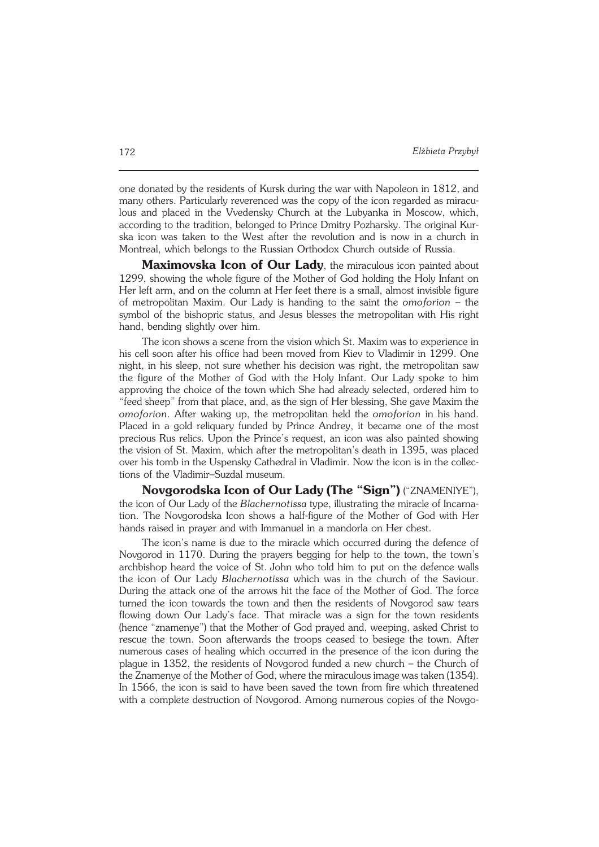one donated by the residents of Kursk during the war with Napoleon in 1812, and many others. Particularly reverenced was the copy of the icon regarded as miracu− lous and placed in the Vvedensky Church at the Lubyanka in Moscow, which, according to the tradition, belonged to Prince Dmitry Pozharsky. The original Kur− ska icon was taken to the West after the revolution and is now in a church in Montreal, which belongs to the Russian Orthodox Church outside of Russia.

**Maximovska Icon of Our Lady**, the miraculous icon painted about 1299, showing the whole figure of the Mother of God holding the Holy Infant on Her left arm, and on the column at Her feet there is a small, almost invisible figure of metropolitan Maxim. Our Lady is handing to the saint the *omoforion* – the symbol of the bishopric status, and Jesus blesses the metropolitan with His right hand, bending slightly over him.

The icon shows a scene from the vision which St. Maxim was to experience in his cell soon after his office had been moved from Kiev to Vladimir in 1299. One night, in his sleep, not sure whether his decision was right, the metropolitan saw the figure of the Mother of God with the Holy Infant. Our Lady spoke to him approving the choice of the town which She had already selected, ordered him to "feed sheep" from that place, and, as the sign of Her blessing, She gave Maxim the *omoforion*. After waking up, the metropolitan held the *omoforion* in his hand. Placed in a gold reliquary funded by Prince Andrey, it became one of the most precious Rus relics. Upon the Prince's request, an icon was also painted showing the vision of St. Maxim, which after the metropolitan's death in 1395, was placed over his tomb in the Uspensky Cathedral in Vladimir. Now the icon is in the collec− tions of the Vladimir–Suzdal museum.

**Novgorodska Icon of Our Lady (The "Sign")** ("ZNAMENIYE"), the icon of Our Lady of the *Blachernotissa* type, illustrating the miracle of Incarna− tion. The Novgorodska Icon shows a half−figure of the Mother of God with Her hands raised in prayer and with Immanuel in a mandorla on Her chest.

The icon's name is due to the miracle which occurred during the defence of Novgorod in 1170. During the prayers begging for help to the town, the town's archbishop heard the voice of St.John who told him to put on the defence walls the icon of Our Lady *Blachernotissa* which was in the church of the Saviour. During the attack one of the arrows hit the face of the Mother of God. The force turned the icon towards the town and then the residents of Novgorod saw tears flowing down Our Lady's face. That miracle was a sign for the town residents (hence "znamenye") that the Mother of God prayed and, weeping, asked Christ to rescue the town. Soon afterwards the troops ceased to besiege the town. After numerous cases of healing which occurred in the presence of the icon during the plague in 1352, the residents of Novgorod funded a new church – the Church of the Znamenye of the Mother of God, where the miraculous image was taken (1354). In 1566, the icon is said to have been saved the town from fire which threatened with a complete destruction of Novgorod. Among numerous copies of the Novgo−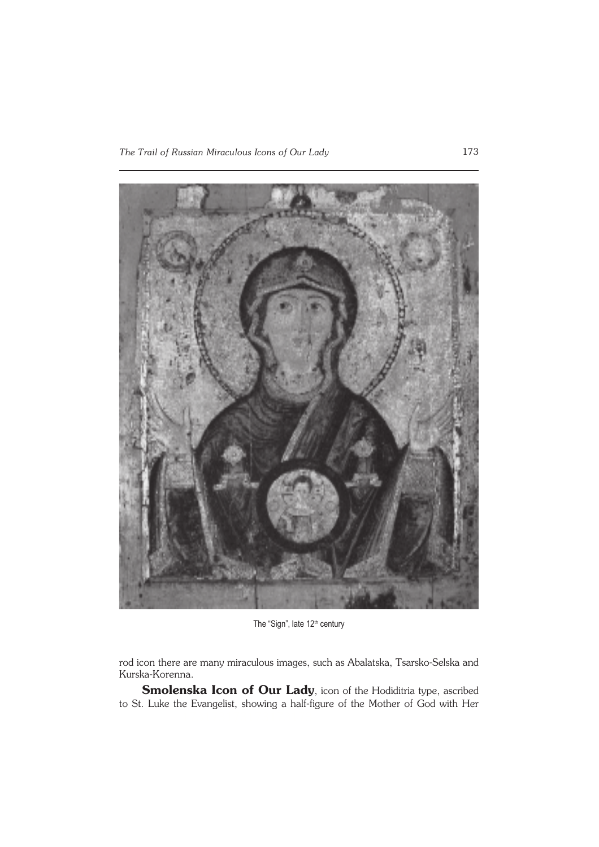

The "Sign", late 12<sup>th</sup> century

rod icon there are many miraculous images, such as Abalatska, Tsarsko−Selska and Kurska−Korenna.

**Smolenska Icon of Our Lady**, icon of the Hodiditria type, ascribed to St. Luke the Evangelist, showing a half−figure of the Mother of God with Her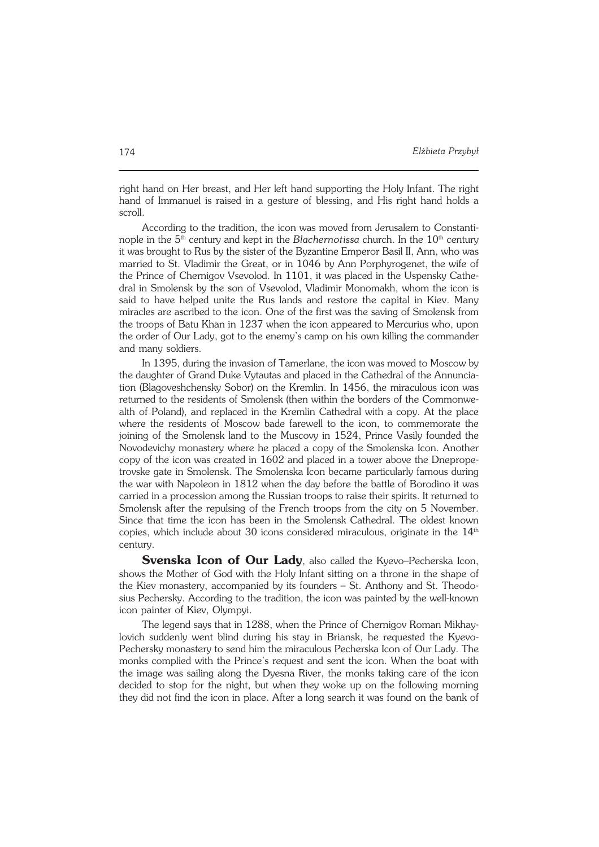right hand on Her breast, and Her left hand supporting the Holy Infant. The right hand of Immanuel is raised in a gesture of blessing, and His right hand holds a scroll.

According to the tradition, the icon was moved from Jerusalem to Constanti− nople in the 5<sup>th</sup> century and kept in the *Blachernotissa* church. In the 10<sup>th</sup> century it was brought to Rus by the sister of the Byzantine Emperor Basil II, Ann, who was married to St. Vladimir the Great, or in 1046 by Ann Porphyrogenet, the wife of the Prince of Chernigov Vsevolod. In 1101, it was placed in the Uspensky Cathe− dral in Smolensk by the son of Vsevolod, Vladimir Monomakh, whom the icon is said to have helped unite the Rus lands and restore the capital in Kiev. Many miracles are ascribed to the icon. One of the first was the saving of Smolensk from the troops of Batu Khan in 1237 when the icon appeared to Mercurius who, upon the order of Our Lady, got to the enemy's camp on his own killing the commander and many soldiers.

In 1395, during the invasion of Tamerlane, the icon was moved to Moscow by the daughter of Grand Duke Vytautas and placed in the Cathedral of the Annuncia− tion (Blagoveshchensky Sobor) on the Kremlin. In 1456, the miraculous icon was returned to the residents of Smolensk (then within the borders of the Commonwe− alth of Poland), and replaced in the Kremlin Cathedral with a copy. At the place where the residents of Moscow bade farewell to the icon, to commemorate the joining of the Smolensk land to the Muscovy in 1524, Prince Vasily founded the Novodevichy monastery where he placed a copy of the Smolenska Icon. Another copy of the icon was created in 1602 and placed in a tower above the Dneprope− trovske gate in Smolensk. The Smolenska Icon became particularly famous during the war with Napoleon in 1812 when the day before the battle of Borodino it was carried in a procession among the Russian troops to raise their spirits. It returned to Smolensk after the repulsing of the French troops from the city on 5 November. Since that time the icon has been in the Smolensk Cathedral. The oldest known copies, which include about 30 icons considered miraculous, originate in the  $14<sup>th</sup>$ century.

**Svenska Icon of Our Lady**, also called the Kyevo–Pecherska Icon, shows the Mother of God with the Holy Infant sitting on a throne in the shape of the Kiev monastery, accompanied by its founders – St. Anthony and St. Theodo− sius Pechersky. According to the tradition, the icon was painted by the well−known icon painter of Kiev, Olympyi.

The legend says that in 1288, when the Prince of Chernigov Roman Mikhay− lovich suddenly went blind during his stay in Briansk, he requested the Kyevo− Pechersky monastery to send him the miraculous Pecherska Icon of Our Lady. The monks complied with the Prince's request and sent the icon. When the boat with the image was sailing along the Dyesna River, the monks taking care of the icon decided to stop for the night, but when they woke up on the following morning they did not find the icon in place. After a long search it was found on the bank of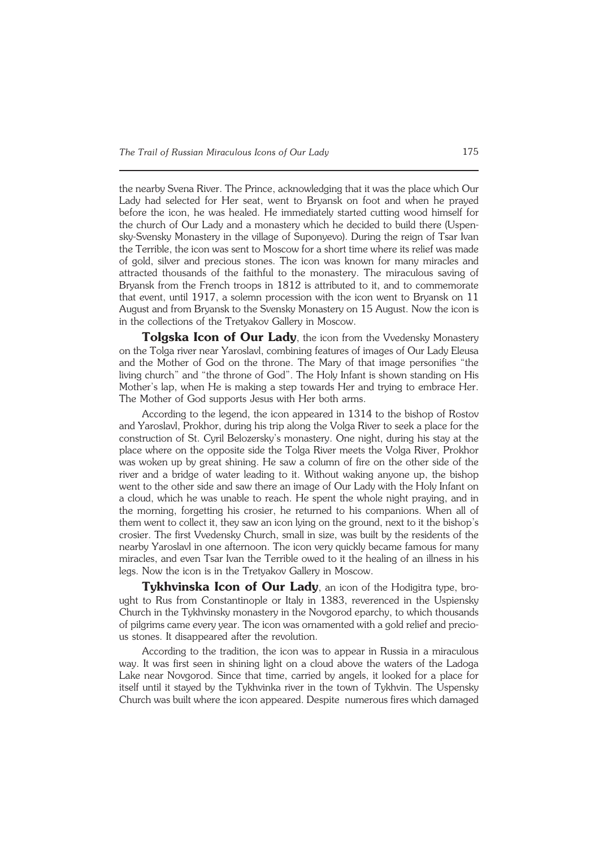the nearby Svena River. The Prince, acknowledging that it was the place which Our Lady had selected for Her seat, went to Bryansk on foot and when he prayed before the icon, he was healed. He immediately started cutting wood himself for the church of Our Lady and a monastery which he decided to build there (Uspen− sky−Svensky Monastery in the village of Suponyevo). During the reign of Tsar Ivan the Terrible, the icon was sent to Moscow for a short time where its relief was made of gold, silver and precious stones. The icon was known for many miracles and attracted thousands of the faithful to the monastery. The miraculous saving of Bryansk from the French troops in 1812 is attributed to it, and to commemorate that event, until 1917, a solemn procession with the icon went to Bryansk on 11 August and from Bryansk to the Svensky Monastery on 15 August. Now the icon is in the collections of the Tretyakov Gallery in Moscow.

**Tolgska Icon of Our Lady**, the icon from the Vvedensky Monastery on the Tolga river near Yaroslavl, combining features of images of Our Lady Eleusa and the Mother of God on the throne. The Mary of that image personifies "the living church" and "the throne of God". The Holy Infant is shown standing on His Mother's lap, when He is making a step towards Her and trying to embrace Her. The Mother of God supports Jesus with Her both arms.

According to the legend, the icon appeared in 1314 to the bishop of Rostov and Yaroslavl, Prokhor, during his trip along the Volga River to seek a place for the construction of St. Cyril Belozersky's monastery. One night, during his stay at the place where on the opposite side the Tolga River meets the Volga River, Prokhor was woken up by great shining. He saw a column of fire on the other side of the river and a bridge of water leading to it. Without waking anyone up, the bishop went to the other side and saw there an image of Our Lady with the Holy Infant on a cloud, which he was unable to reach. He spent the whole night praying, and in the morning, forgetting his crosier, he returned to his companions. When all of them went to collect it, they saw an icon lying on the ground, next to it the bishop's crosier. The first Vvedensky Church, small in size, was built by the residents of the nearby Yaroslavl in one afternoon. The icon very quickly became famous for many miracles, and even Tsar Ivan the Terrible owed to it the healing of an illness in his legs. Now the icon is in the Tretyakov Gallery in Moscow.

**Tykhvinska Icon of Our Lady**, an icon of the Hodigitra type, bro− ught to Rus from Constantinople or Italy in 1383, reverenced in the Uspiensky Church in the Tykhvinsky monastery in the Novgorod eparchy, to which thousands of pilgrims came every year. The icon was ornamented with a gold relief and precio− us stones. It disappeared after the revolution.

According to the tradition, the icon was to appear in Russia in a miraculous way. It was first seen in shining light on a cloud above the waters of the Ladoga Lake near Novgorod. Since that time, carried by angels, it looked for a place for itself until it stayed by the Tykhvinka river in the town of Tykhvin. The Uspensky Church was built where the icon appeared. Despite numerous fires which damaged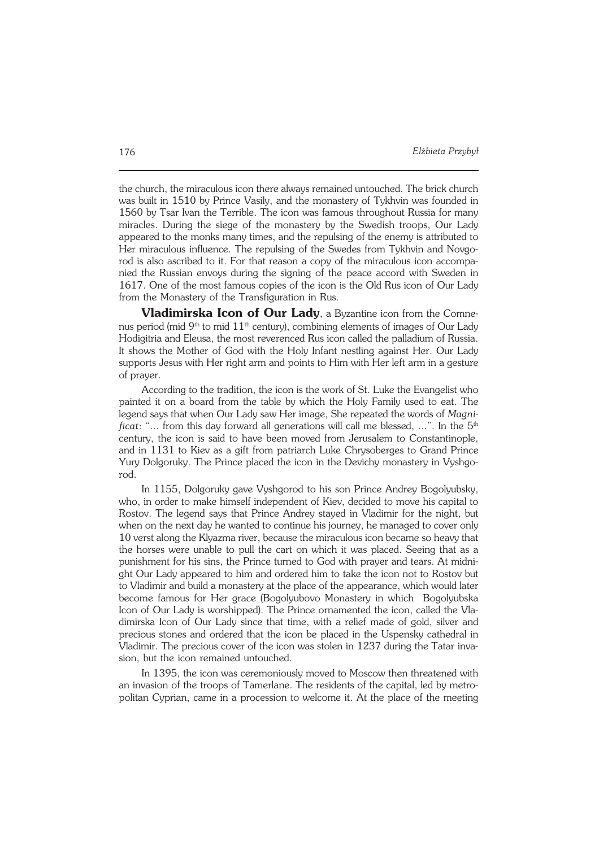the church, the miraculous icon there always remained untouched. The brick church was built in 1510 by Prince Vasily, and the monastery of Tykhvin was founded in 1560 by Tsar Ivan the Terrible. The icon was famous throughout Russia for many miracles. During the siege of the monastery by the Swedish troops, Our Lady appeared to the monks many times, and the repulsing of the enemy is attributed to Her miraculous influence. The repulsing of the Swedes from Tykhvin and Novgorod is also ascribed to it. For that reason a copy of the miraculous icon accompa− nied the Russian envoys during the signing of the peace accord with Sweden in 1617. One of the most famous copies of the icon is the Old Rus icon of Our Lady from the Monastery of the Transfiguration in Rus.

**Vladimirska Icon of Our Lady**, a Byzantine icon from the Comne− nus period (mid  $9<sup>th</sup>$  to mid  $11<sup>th</sup>$  century), combining elements of images of Our Lady Hodigitria and Eleusa, the most reverenced Rus icon called the palladium of Russia. It shows the Mother of God with the Holy Infant nestling against Her. Our Lady supports Jesus with Her right arm and points to Him with Her left arm in a gesture of prayer.

According to the tradition, the icon is the work of St. Luke the Evangelist who painted it on a board from the table by which the Holy Family used to eat. The legend says that when Our Lady saw Her image, She repeated the words of *Magni− ficat*: "... from this day forward all generations will call me blessed, ...". In the 5<sup>th</sup> century, the icon is said to have been moved from Jerusalem to Constantinople, and in 1131 to Kiev as a gift from patriarch Luke Chrysoberges to Grand Prince Yury Dolgoruky. The Prince placed the icon in the Devichy monastery in Vyshgo− rod.

In 1155, Dolgoruky gave Vyshgorod to his son Prince Andrey Bogolyubsky, who, in order to make himself independent of Kiev, decided to move his capital to Rostov. The legend says that Prince Andrey stayed in Vladimir for the night, but when on the next day he wanted to continue his journey, he managed to cover only 10 verst along the Klyazma river, because the miraculous icon became so heavy that the horses were unable to pull the cart on which it was placed. Seeing that as a punishment for his sins, the Prince turned to God with prayer and tears. At midni− ght Our Lady appeared to him and ordered him to take the icon not to Rostov but to Vladimir and build a monastery at the place of the appearance, which would later become famous for Her grace (Bogolyubovo Monastery in which Bogolyubska Icon of Our Lady is worshipped). The Prince ornamented the icon, called the Vla− dimirska Icon of Our Lady since that time, with a relief made of gold, silver and precious stones and ordered that the icon be placed in the Uspensky cathedral in Vladimir. The precious cover of the icon was stolen in 1237 during the Tatar inva− sion, but the icon remained untouched.

In 1395, the icon was ceremoniously moved to Moscow then threatened with an invasion of the troops of Tamerlane. The residents of the capital, led by metro− politan Cyprian, came in a procession to welcome it. At the place of the meeting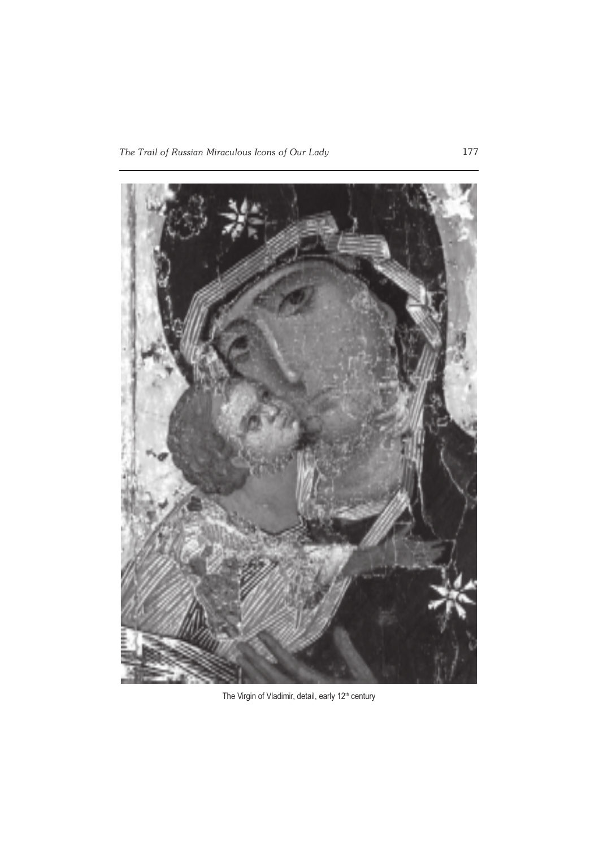

The Virgin of Vladimir, detail, early 12<sup>th</sup> century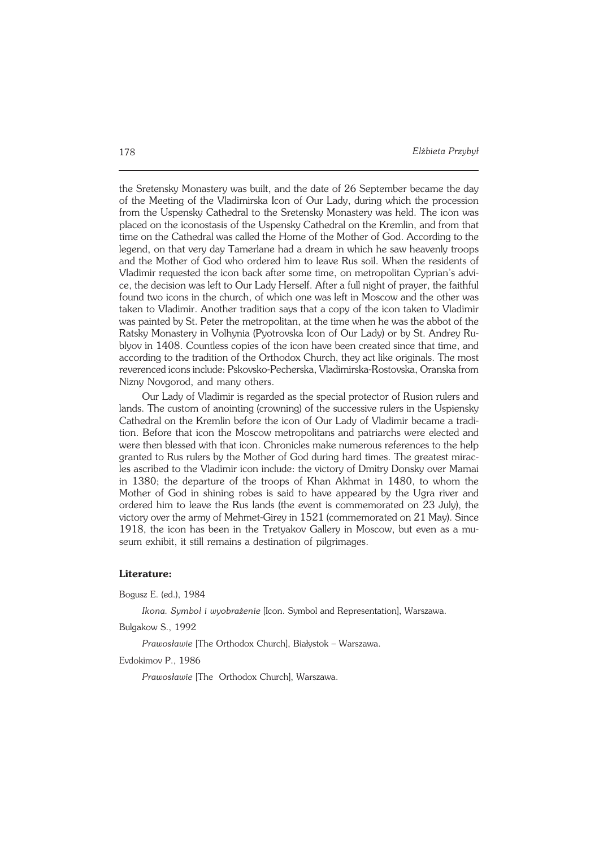the Sretensky Monastery was built, and the date of 26 September became the day of the Meeting of the Vladimirska Icon of Our Lady, during which the procession from the Uspensky Cathedral to the Sretensky Monastery was held. The icon was placed on the iconostasis of the Uspensky Cathedral on the Kremlin, and from that time on the Cathedral was called the Home of the Mother of God. According to the legend, on that very day Tamerlane had a dream in which he saw heavenly troops and the Mother of God who ordered him to leave Rus soil. When the residents of Vladimir requested the icon back after some time, on metropolitan Cyprian's advi− ce, the decision was left to Our Lady Herself. After a full night of prayer, the faithful found two icons in the church, of which one was left in Moscow and the other was taken to Vladimir. Another tradition says that a copy of the icon taken to Vladimir was painted by St. Peter the metropolitan, at the time when he was the abbot of the Ratsky Monastery in Volhynia (Pyotrovska Icon of Our Lady) or by St. Andrey Ru− blyov in 1408. Countless copies of the icon have been created since that time, and according to the tradition of the Orthodox Church, they act like originals. The most reverenced icons include: Pskovsko−Pecherska, Vladimirska−Rostovska, Oranska from Nizny Novgorod, and many others.

Our Lady of Vladimir is regarded as the special protector of Rusion rulers and lands. The custom of anointing (crowning) of the successive rulers in the Uspiensky Cathedral on the Kremlin before the icon of Our Lady of Vladimir became a tradi− tion. Before that icon the Moscow metropolitans and patriarchs were elected and were then blessed with that icon. Chronicles make numerous references to the help granted to Rus rulers by the Mother of God during hard times. The greatest mirac− les ascribed to the Vladimir icon include: the victory of Dmitry Donsky over Mamai in 1380; the departure of the troops of Khan Akhmat in 1480, to whom the Mother of God in shining robes is said to have appeared by the Ugra river and ordered him to leave the Rus lands (the event is commemorated on 23 July), the victory over the army of Mehmet−Girey in 1521 (commemorated on 21 May). Since 1918, the icon has been in the Tretyakov Gallery in Moscow, but even as a mu− seum exhibit, it still remains a destination of pilgrimages.

#### **Literature:**

Bogusz E. (ed.), 1984

*Ikona. Symbol i wyobrażenie* [Icon. Symbol and Representation], Warszawa.

Bulgakow S., 1992

*Prawosławie* [The Orthodox Church], Białystok – Warszawa.

Evdokimov P., 1986

*Prawosławie* [The Orthodox Church], Warszawa.